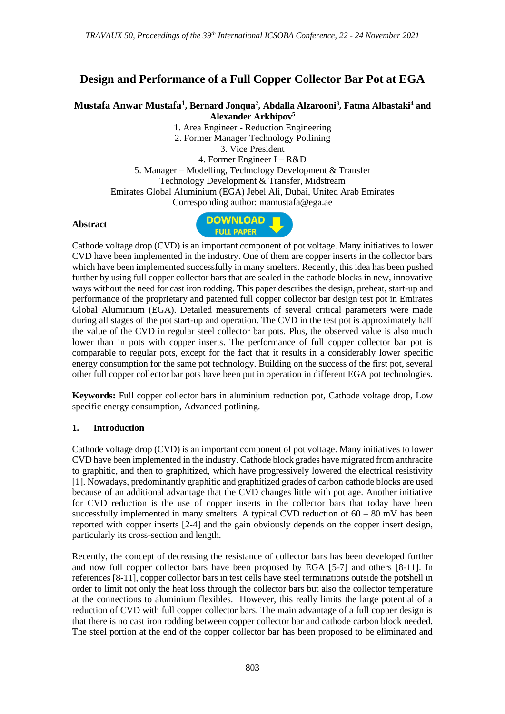# **Design and Performance of a Full Copper Collector Bar Pot at EGA**

#### **Mustafa Anwar Mustafa<sup>1</sup> , Bernard Jonqua<sup>2</sup> , Abdalla Alzarooni<sup>3</sup> , Fatma Albastaki<sup>4</sup> and Alexander Arkhipov<sup>5</sup>**

1. Area Engineer - Reduction Engineering

2. Former Manager Technology Potlining

3. Vice President

4. Former Engineer I – R&D 5. Manager – Modelling, Technology Development & Transfer Technology Development & Transfer, Midstream Emirates Global Aluminium (EGA) Jebel Ali, Dubai, United Arab Emirates Corresponding author: [mamustafa@ega.ae](mailto:mamustafa@ega.ae)

#### **Abstract**



Cathode voltage drop (CVD) is an important component of pot voltage. Many initiatives to lower CVD have been implemented in the industry. One of them are copper inserts in the collector bars which have been implemented successfully in many smelters. Recently, this idea has been pushed further by using full copper collector bars that are sealed in the cathode blocks in new, innovative ways without the need for cast iron rodding. This paper describes the design, preheat, start-up and performance of the proprietary and patented full copper collector bar design test pot in Emirates Global Aluminium (EGA). Detailed measurements of several critical parameters were made during all stages of the pot start-up and operation. The CVD in the test pot is approximately half the value of the CVD in regular steel collector bar pots. Plus, the observed value is also much lower than in pots with copper inserts. The performance of full copper collector bar pot is comparable to regular pots, except for the fact that it results in a considerably lower specific energy consumption for the same pot technology. Building on the success of the first pot, several other full copper collector bar pots have been put in operation in different EGA pot technologies.

**Keywords:** Full copper collector bars in aluminium reduction pot, Cathode voltage drop, Low specific energy consumption, Advanced potlining.

## **1. Introduction**

Cathode voltage drop (CVD) is an important component of pot voltage. Many initiatives to lower CVD have been implemented in the industry. Cathode block grades have migrated from anthracite to graphitic, and then to graphitized, which have progressively lowered the electrical resistivity [1]. Nowadays, predominantly graphitic and graphitized grades of carbon cathode blocks are used because of an additional advantage that the CVD changes little with pot age. Another initiative for CVD reduction is the use of copper inserts in the collector bars that today have been successfully implemented in many smelters. A typical CVD reduction of  $60 - 80$  mV has been reported with copper inserts [2-4] and the gain obviously depends on the copper insert design, particularly its cross-section and length.

Recently, the concept of decreasing the resistance of collector bars has been developed further and now full copper collector bars have been proposed by EGA [5-7] and others [8-11]. In references [8-11], copper collector bars in test cells have steel terminations outside the potshell in order to limit not only the heat loss through the collector bars but also the collector temperature at the connections to aluminium flexibles. However, this really limits the large potential of a reduction of CVD with full copper collector bars. The main advantage of a full copper design is that there is no cast iron rodding between copper collector bar and cathode carbon block needed. The steel portion at the end of the copper collector bar has been proposed to be eliminated and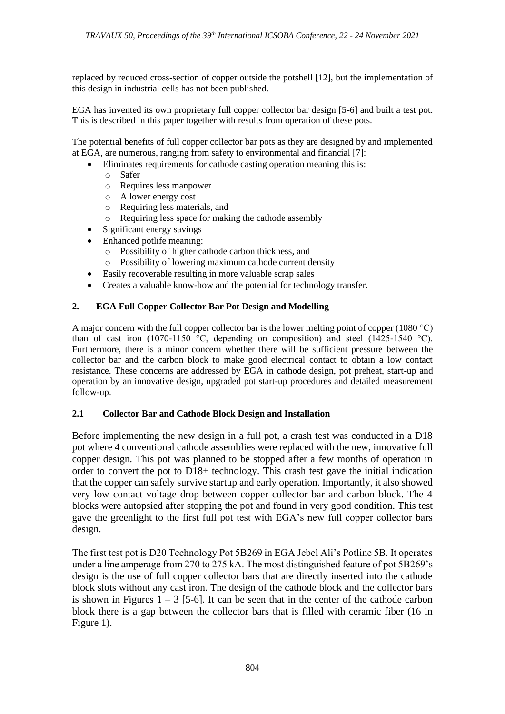replaced by reduced cross-section of copper outside the potshell [12], but the implementation of this design in industrial cells has not been published.

EGA has invented its own proprietary full copper collector bar design [5-6] and built a test pot. This is described in this paper together with results from operation of these pots.

The potential benefits of full copper collector bar pots as they are designed by and implemented at EGA, are numerous, ranging from safety to environmental and financial [7]:

- Eliminates requirements for cathode casting operation meaning this is:
	- o Safer
	- o Requires less manpower
	- o A lower energy cost
	- o Requiring less materials, and
	- o Requiring less space for making the cathode assembly
- Significant energy savings
- Enhanced potlife meaning:
	- o Possibility of higher cathode carbon thickness, and
	- o Possibility of lowering maximum cathode current density
- Easily recoverable resulting in more valuable scrap sales
- Creates a valuable know-how and the potential for technology transfer.

## **2. EGA Full Copper Collector Bar Pot Design and Modelling**

A major concern with the full copper collector bar is the lower melting point of copper (1080 °C) than of cast iron (1070-1150  $\degree$ C, depending on composition) and steel (1425-1540  $\degree$ C). Furthermore, there is a minor concern whether there will be sufficient pressure between the collector bar and the carbon block to make good electrical contact to obtain a low contact resistance. These concerns are addressed by EGA in cathode design, pot preheat, start-up and operation by an innovative design, upgraded pot start-up procedures and detailed measurement follow-up.

## **2.1 Collector Bar and Cathode Block Design and Installation**

Before implementing the new design in a full pot, a crash test was conducted in a D18 pot where 4 conventional cathode assemblies were replaced with the new, innovative full copper design. This pot was planned to be stopped after a few months of operation in order to convert the pot to D18+ technology. This crash test gave the initial indication that the copper can safely survive startup and early operation. Importantly, it also showed very low contact voltage drop between copper collector bar and carbon block. The 4 blocks were autopsied after stopping the pot and found in very good condition. This test gave the greenlight to the first full pot test with EGA's new full copper collector bars design.

The first test pot is D20 Technology Pot 5B269 in EGA Jebel Ali's Potline 5B. It operates under a line amperage from 270 to 275 kA. The most distinguished feature of pot 5B269's design is the use of full copper collector bars that are directly inserted into the cathode block slots without any cast iron. The design of the cathode block and the collector bars is shown in Figures  $1 - 3$  [5-6]. It can be seen that in the center of the cathode carbon block there is a gap between the collector bars that is filled with ceramic fiber (16 in Figure 1).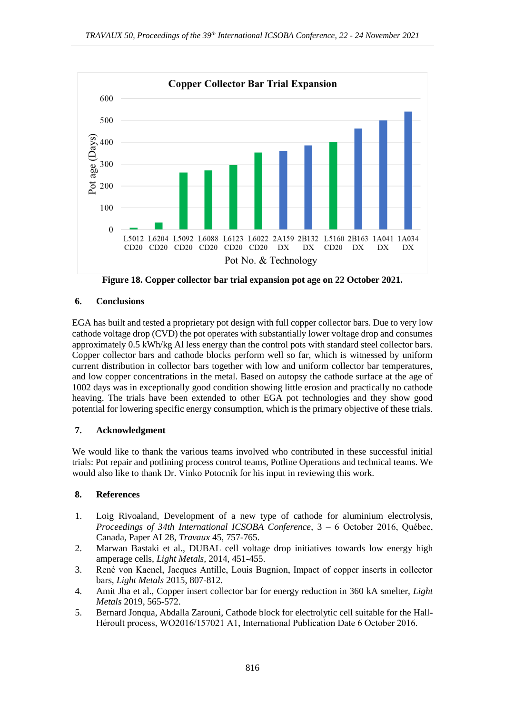

**Figure 18. Copper collector bar trial expansion pot age on 22 October 2021.**

# **6. Conclusions**

EGA has built and tested a proprietary pot design with full copper collector bars. Due to very low cathode voltage drop (CVD) the pot operates with substantially lower voltage drop and consumes approximately 0.5 kWh/kg Al less energy than the control pots with standard steel collector bars. Copper collector bars and cathode blocks perform well so far, which is witnessed by uniform current distribution in collector bars together with low and uniform collector bar temperatures, and low copper concentrations in the metal. Based on autopsy the cathode surface at the age of 1002 days was in exceptionally good condition showing little erosion and practically no cathode heaving. The trials have been extended to other EGA pot technologies and they show good potential for lowering specific energy consumption, which is the primary objective of these trials.

## **7. Acknowledgment**

We would like to thank the various teams involved who contributed in these successful initial trials: Pot repair and potlining process control teams, Potline Operations and technical teams. We would also like to thank Dr. Vinko Potocnik for his input in reviewing this work.

## **8. References**

- 1. Loig Rivoaland, Development of a new type of cathode for aluminium electrolysis, *Proceedings of 34th International ICSOBA Conference*, 3 – 6 October 2016, Québec, Canada, Paper AL28, *Travaux* 45, 757-765.
- 2. Marwan Bastaki et al., DUBAL cell voltage drop initiatives towards low energy high amperage cells, *Light Metals,* 2014, 451-455.
- 3. René von Kaenel, Jacques Antille, Louis Bugnion, Impact of copper inserts in collector bars, *Light Metals* 2015, 807-812.
- 4. Amit Jha et al., Copper insert collector bar for energy reduction in 360 kA smelter, *Light Metals* 2019, 565-572.
- 5. Bernard Jonqua, Abdalla Zarouni, Cathode block for electrolytic cell suitable for the Hall-Héroult process, WO2016/157021 A1, International Publication Date 6 October 2016.